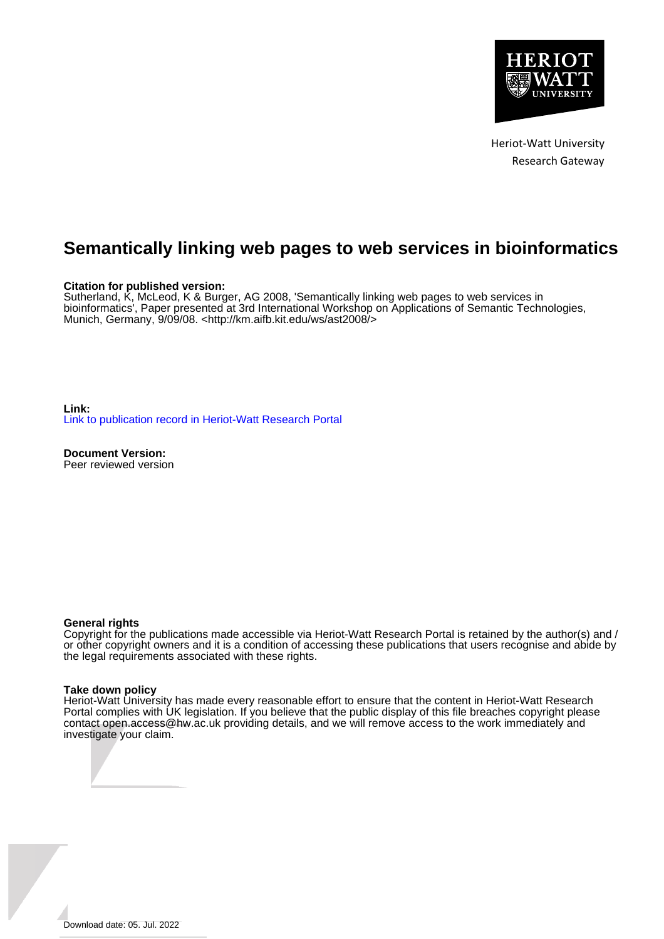

Heriot-Watt University Research Gateway

# **Semantically linking web pages to web services in bioinformatics**

#### **Citation for published version:**

Sutherland, K, McLeod, K & Burger, AG 2008, 'Semantically linking web pages to web services in bioinformatics', Paper presented at 3rd International Workshop on Applications of Semantic Technologies, Munich, Germany, 9/09/08. [<http://km.aifb.kit.edu/ws/ast2008/>](http://km.aifb.kit.edu/ws/ast2008/)

**Link:** [Link to publication record in Heriot-Watt Research Portal](https://researchportal.hw.ac.uk/en/publications/5ce6c748-90ee-49c8-8919-ae6aedf259fe)

**Document Version:** Peer reviewed version

#### **General rights**

Copyright for the publications made accessible via Heriot-Watt Research Portal is retained by the author(s) and / or other copyright owners and it is a condition of accessing these publications that users recognise and abide by the legal requirements associated with these rights.

#### **Take down policy**

Heriot-Watt University has made every reasonable effort to ensure that the content in Heriot-Watt Research Portal complies with UK legislation. If you believe that the public display of this file breaches copyright please contact open.access@hw.ac.uk providing details, and we will remove access to the work immediately and investigate your claim.

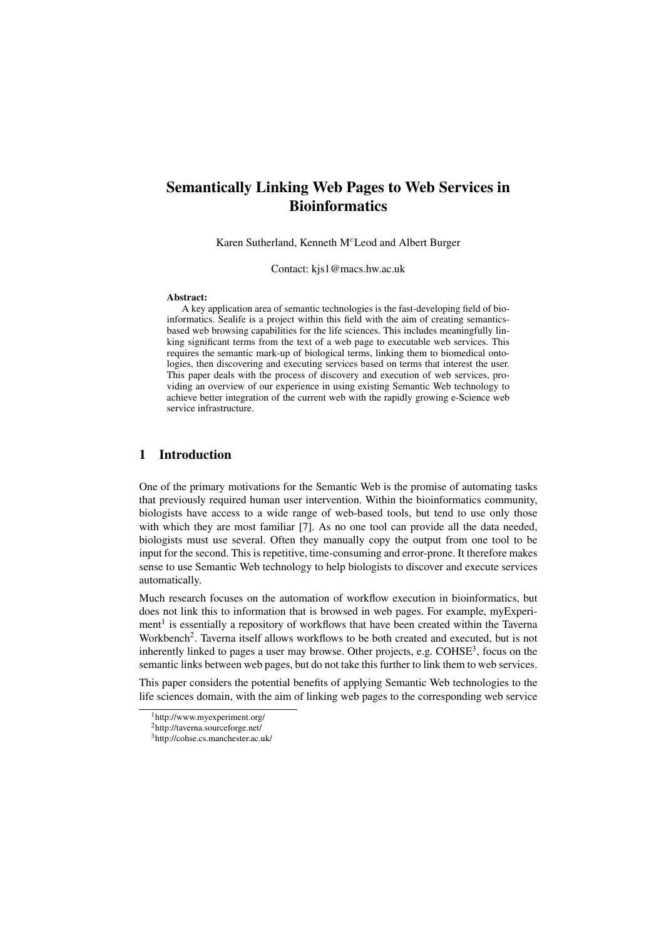## Semantically Linking Web Pages to Web Services in **Bioinformatics**

Karen Sutherland, Kenneth M<sup>c</sup>Leod and Albert Burger

Contact: kjs1@macs.hw.ac.uk

#### Abstract:

A key application area of semantic technologies is the fast-developing field of bioinformatics. Sealife is a project within this field with the aim of creating semanticsbased web browsing capabilities for the life sciences. This includes meaningfully linking significant terms from the text of a web page to executable web services. This requires the semantic mark-up of biological terms, linking them to biomedical ontologies, then discovering and executing services based on terms that interest the user. This paper deals with the process of discovery and execution of web services, providing an overview of our experience in using existing Semantic Web technology to achieve better integration of the current web with the rapidly growing e-Science web service infrastructure.

## 1 Introduction

One of the primary motivations for the Semantic Web is the promise of automating tasks that previously required human user intervention. Within the bioinformatics community, biologists have access to a wide range of web-based tools, but tend to use only those with which they are most familiar [7]. As no one tool can provide all the data needed, biologists must use several. Often they manually copy the output from one tool to be input for the second. This is repetitive, time-consuming and error-prone. It therefore makes sense to use Semantic Web technology to help biologists to discover and execute services automatically.

Much research focuses on the automation of workflow execution in bioinformatics, but does not link this to information that is browsed in web pages. For example, myExperiment<sup>1</sup> is essentially a repository of workflows that have been created within the Taverna Workbench<sup>2</sup>. Taverna itself allows workflows to be both created and executed, but is not inherently linked to pages a user may browse. Other projects, e.g.  $\text{COHSE}^3$ , focus on the semantic links between web pages, but do not take this further to link them to web services.

This paper considers the potential benefits of applying Semantic Web technologies to the life sciences domain, with the aim of linking web pages to the corresponding web service

<sup>1</sup>http://www.myexperiment.org/

<sup>2</sup>http://taverna.sourceforge.net/

<sup>3</sup>http://cohse.cs.manchester.ac.uk/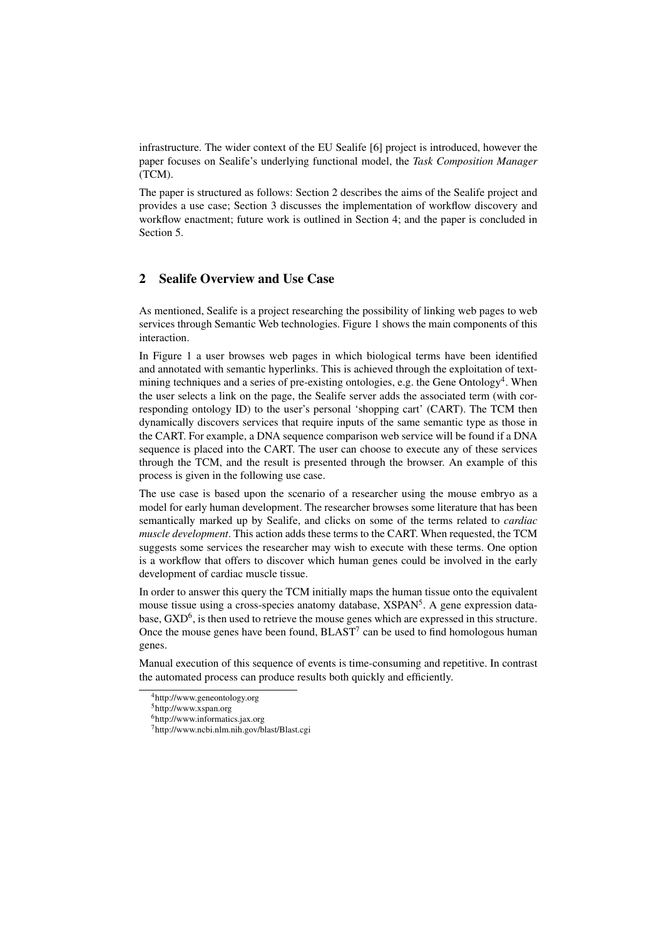infrastructure. The wider context of the EU Sealife [6] project is introduced, however the paper focuses on Sealife's underlying functional model, the *Task Composition Manager* (TCM).

The paper is structured as follows: Section 2 describes the aims of the Sealife project and provides a use case; Section 3 discusses the implementation of workflow discovery and workflow enactment; future work is outlined in Section 4; and the paper is concluded in Section 5.

## 2 Sealife Overview and Use Case

As mentioned, Sealife is a project researching the possibility of linking web pages to web services through Semantic Web technologies. Figure 1 shows the main components of this interaction.

In Figure 1 a user browses web pages in which biological terms have been identified and annotated with semantic hyperlinks. This is achieved through the exploitation of textmining techniques and a series of pre-existing ontologies, e.g. the Gene Ontology<sup>4</sup>. When the user selects a link on the page, the Sealife server adds the associated term (with corresponding ontology ID) to the user's personal 'shopping cart' (CART). The TCM then dynamically discovers services that require inputs of the same semantic type as those in the CART. For example, a DNA sequence comparison web service will be found if a DNA sequence is placed into the CART. The user can choose to execute any of these services through the TCM, and the result is presented through the browser. An example of this process is given in the following use case.

The use case is based upon the scenario of a researcher using the mouse embryo as a model for early human development. The researcher browses some literature that has been semantically marked up by Sealife, and clicks on some of the terms related to *cardiac muscle development*. This action adds these terms to the CART. When requested, the TCM suggests some services the researcher may wish to execute with these terms. One option is a workflow that offers to discover which human genes could be involved in the early development of cardiac muscle tissue.

In order to answer this query the TCM initially maps the human tissue onto the equivalent mouse tissue using a cross-species anatomy database, XSPAN<sup>5</sup>. A gene expression database,  $\text{GXD}^6$ , is then used to retrieve the mouse genes which are expressed in this structure. Once the mouse genes have been found,  $BLAST<sup>7</sup>$  can be used to find homologous human genes.

Manual execution of this sequence of events is time-consuming and repetitive. In contrast the automated process can produce results both quickly and efficiently.

<sup>4</sup>http://www.geneontology.org

<sup>5</sup>http://www.xspan.org

<sup>6</sup>http://www.informatics.jax.org

<sup>7</sup>http://www.ncbi.nlm.nih.gov/blast/Blast.cgi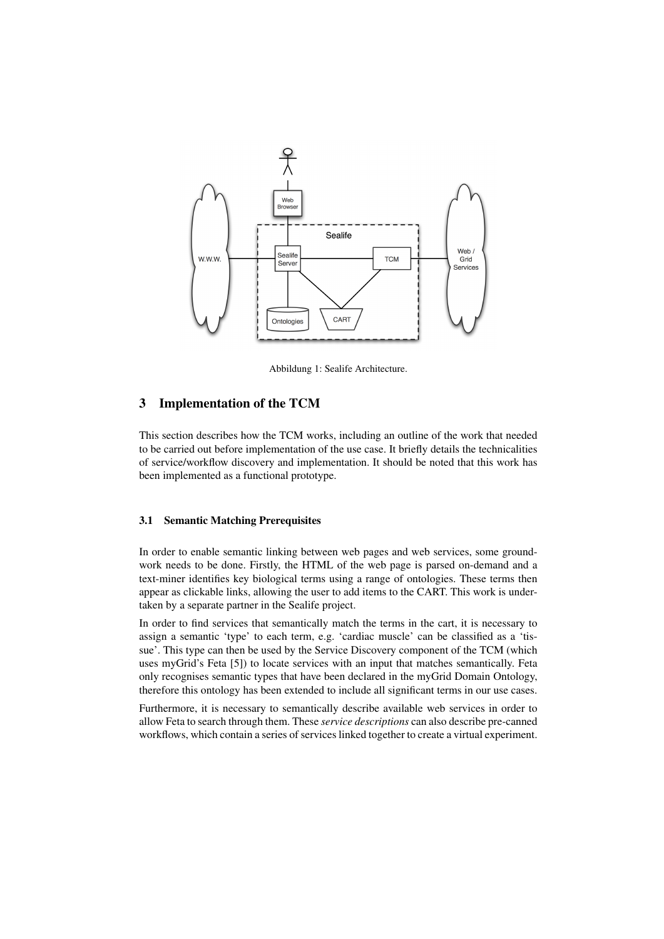

Abbildung 1: Sealife Architecture.

### 3 Implementation of the TCM

This section describes how the TCM works, including an outline of the work that needed to be carried out before implementation of the use case. It briefly details the technicalities of service/workflow discovery and implementation. It should be noted that this work has been implemented as a functional prototype.

#### 3.1 Semantic Matching Prerequisites

In order to enable semantic linking between web pages and web services, some groundwork needs to be done. Firstly, the HTML of the web page is parsed on-demand and a text-miner identifies key biological terms using a range of ontologies. These terms then appear as clickable links, allowing the user to add items to the CART. This work is undertaken by a separate partner in the Sealife project.

In order to find services that semantically match the terms in the cart, it is necessary to assign a semantic 'type' to each term, e.g. 'cardiac muscle' can be classified as a 'tissue'. This type can then be used by the Service Discovery component of the TCM (which uses myGrid's Feta [5]) to locate services with an input that matches semantically. Feta only recognises semantic types that have been declared in the myGrid Domain Ontology, therefore this ontology has been extended to include all significant terms in our use cases.

Furthermore, it is necessary to semantically describe available web services in order to allow Feta to search through them. These *service descriptions* can also describe pre-canned workflows, which contain a series of services linked together to create a virtual experiment.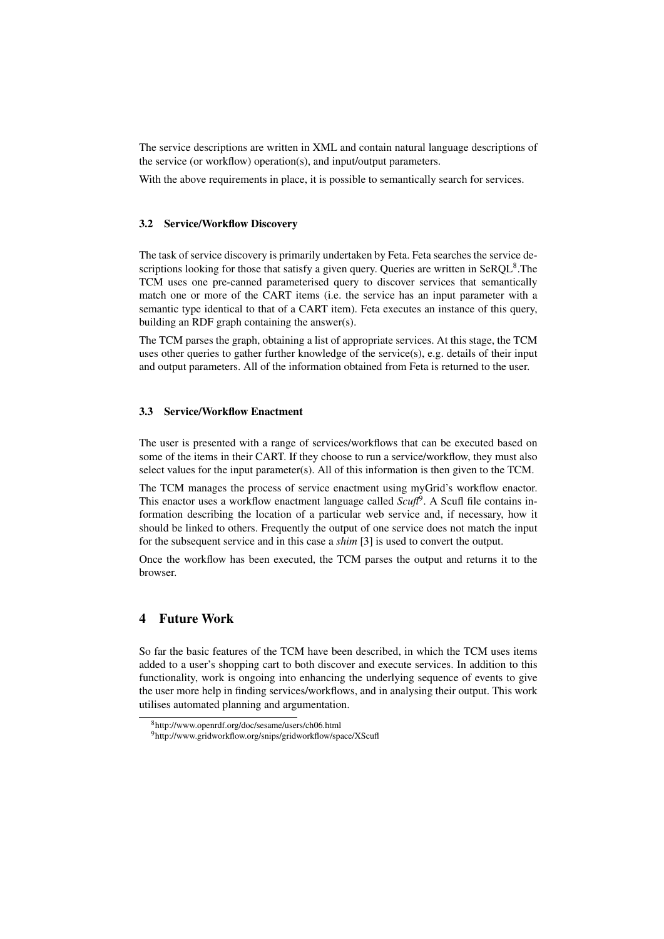The service descriptions are written in XML and contain natural language descriptions of the service (or workflow) operation(s), and input/output parameters.

With the above requirements in place, it is possible to semantically search for services.

#### 3.2 Service/Workflow Discovery

The task of service discovery is primarily undertaken by Feta. Feta searches the service descriptions looking for those that satisfy a given query. Queries are written in SeRQL $^8$ . The TCM uses one pre-canned parameterised query to discover services that semantically match one or more of the CART items (i.e. the service has an input parameter with a semantic type identical to that of a CART item). Feta executes an instance of this query, building an RDF graph containing the answer(s).

The TCM parses the graph, obtaining a list of appropriate services. At this stage, the TCM uses other queries to gather further knowledge of the service(s), e.g. details of their input and output parameters. All of the information obtained from Feta is returned to the user.

#### 3.3 Service/Workflow Enactment

The user is presented with a range of services/workflows that can be executed based on some of the items in their CART. If they choose to run a service/workflow, they must also select values for the input parameter(s). All of this information is then given to the TCM.

The TCM manages the process of service enactment using myGrid's workflow enactor. This enactor uses a workflow enactment language called *Scuft<sup>9</sup>*. A Scufl file contains information describing the location of a particular web service and, if necessary, how it should be linked to others. Frequently the output of one service does not match the input for the subsequent service and in this case a *shim* [3] is used to convert the output.

Once the workflow has been executed, the TCM parses the output and returns it to the browser.

## 4 Future Work

So far the basic features of the TCM have been described, in which the TCM uses items added to a user's shopping cart to both discover and execute services. In addition to this functionality, work is ongoing into enhancing the underlying sequence of events to give the user more help in finding services/workflows, and in analysing their output. This work utilises automated planning and argumentation.

<sup>8</sup>http://www.openrdf.org/doc/sesame/users/ch06.html

<sup>9</sup>http://www.gridworkflow.org/snips/gridworkflow/space/XScufl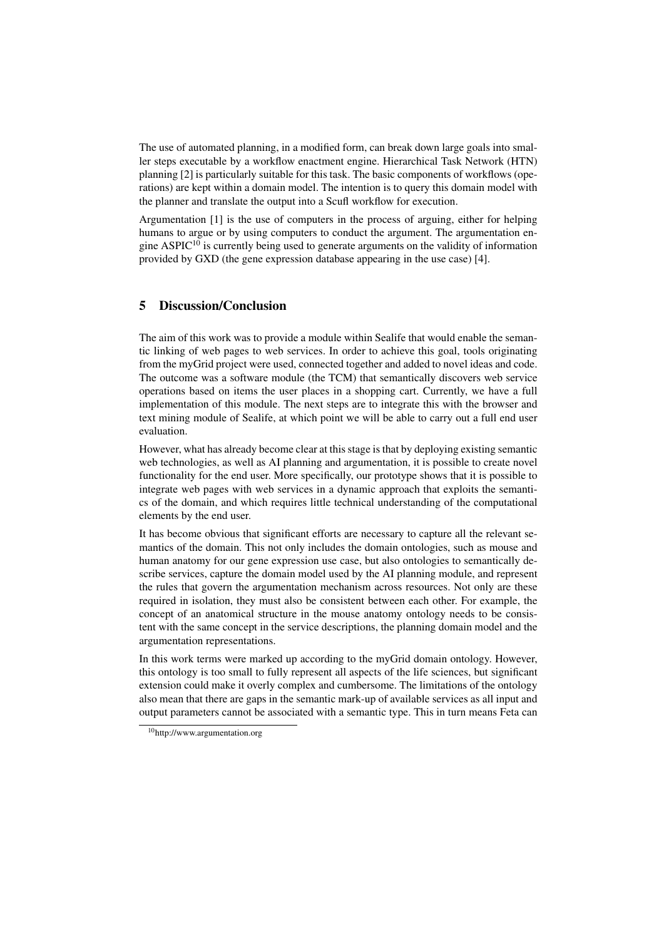The use of automated planning, in a modified form, can break down large goals into smaller steps executable by a workflow enactment engine. Hierarchical Task Network (HTN) planning [2] is particularly suitable for this task. The basic components of workflows (operations) are kept within a domain model. The intention is to query this domain model with the planner and translate the output into a Scufl workflow for execution.

Argumentation [1] is the use of computers in the process of arguing, either for helping humans to argue or by using computers to conduct the argument. The argumentation engine ASPIC<sup>10</sup> is currently being used to generate arguments on the validity of information provided by GXD (the gene expression database appearing in the use case) [4].

## 5 Discussion/Conclusion

The aim of this work was to provide a module within Sealife that would enable the semantic linking of web pages to web services. In order to achieve this goal, tools originating from the myGrid project were used, connected together and added to novel ideas and code. The outcome was a software module (the TCM) that semantically discovers web service operations based on items the user places in a shopping cart. Currently, we have a full implementation of this module. The next steps are to integrate this with the browser and text mining module of Sealife, at which point we will be able to carry out a full end user evaluation.

However, what has already become clear at this stage is that by deploying existing semantic web technologies, as well as AI planning and argumentation, it is possible to create novel functionality for the end user. More specifically, our prototype shows that it is possible to integrate web pages with web services in a dynamic approach that exploits the semantics of the domain, and which requires little technical understanding of the computational elements by the end user.

It has become obvious that significant efforts are necessary to capture all the relevant semantics of the domain. This not only includes the domain ontologies, such as mouse and human anatomy for our gene expression use case, but also ontologies to semantically describe services, capture the domain model used by the AI planning module, and represent the rules that govern the argumentation mechanism across resources. Not only are these required in isolation, they must also be consistent between each other. For example, the concept of an anatomical structure in the mouse anatomy ontology needs to be consistent with the same concept in the service descriptions, the planning domain model and the argumentation representations.

In this work terms were marked up according to the myGrid domain ontology. However, this ontology is too small to fully represent all aspects of the life sciences, but significant extension could make it overly complex and cumbersome. The limitations of the ontology also mean that there are gaps in the semantic mark-up of available services as all input and output parameters cannot be associated with a semantic type. This in turn means Feta can

<sup>10</sup>http://www.argumentation.org